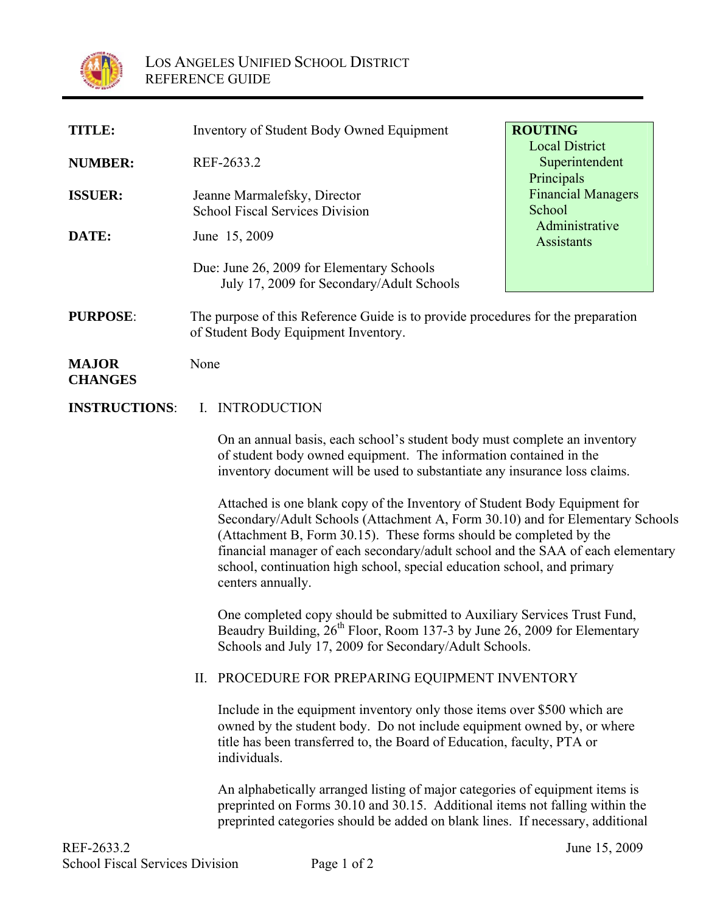

| <b>TITLE:</b>                  | Inventory of Student Body Owned Equipment                                                                                                                                                                                                                                                                                                                                                                           | <b>ROUTING</b>                                        |
|--------------------------------|---------------------------------------------------------------------------------------------------------------------------------------------------------------------------------------------------------------------------------------------------------------------------------------------------------------------------------------------------------------------------------------------------------------------|-------------------------------------------------------|
| <b>NUMBER:</b>                 | REF-2633.2                                                                                                                                                                                                                                                                                                                                                                                                          | <b>Local District</b><br>Superintendent<br>Principals |
| <b>ISSUER:</b>                 | Jeanne Marmalefsky, Director<br><b>School Fiscal Services Division</b>                                                                                                                                                                                                                                                                                                                                              | <b>Financial Managers</b><br>School                   |
| DATE:                          | June 15, 2009                                                                                                                                                                                                                                                                                                                                                                                                       | Administrative<br>Assistants                          |
|                                | Due: June 26, 2009 for Elementary Schools<br>July 17, 2009 for Secondary/Adult Schools                                                                                                                                                                                                                                                                                                                              |                                                       |
| <b>PURPOSE:</b>                | The purpose of this Reference Guide is to provide procedures for the preparation<br>of Student Body Equipment Inventory.                                                                                                                                                                                                                                                                                            |                                                       |
| <b>MAJOR</b><br><b>CHANGES</b> | None                                                                                                                                                                                                                                                                                                                                                                                                                |                                                       |
| <b>INSTRUCTIONS:</b>           | I. INTRODUCTION                                                                                                                                                                                                                                                                                                                                                                                                     |                                                       |
|                                | On an annual basis, each school's student body must complete an inventory<br>of student body owned equipment. The information contained in the<br>inventory document will be used to substantiate any insurance loss claims.                                                                                                                                                                                        |                                                       |
|                                | Attached is one blank copy of the Inventory of Student Body Equipment for<br>Secondary/Adult Schools (Attachment A, Form 30.10) and for Elementary Schools<br>(Attachment B, Form 30.15). These forms should be completed by the<br>financial manager of each secondary/adult school and the SAA of each elementary<br>school, continuation high school, special education school, and primary<br>centers annually. |                                                       |
|                                | One completed copy should be submitted to Auxiliary Services Trust Fund,<br>Beaudry Building, 26 <sup>th</sup> Floor, Room 137-3 by June 26, 2009 for Elementary<br>Schools and July 17, 2009 for Secondary/Adult Schools.                                                                                                                                                                                          |                                                       |
|                                | PROCEDURE FOR PREPARING EQUIPMENT INVENTORY<br>П.                                                                                                                                                                                                                                                                                                                                                                   |                                                       |
|                                | Include in the equipment inventory only those items over \$500 which are<br>owned by the student body. Do not include equipment owned by, or where<br>title has been transferred to, the Board of Education, faculty, PTA or<br>individuals.                                                                                                                                                                        |                                                       |
|                                | An alphabetically arranged listing of major categories of equipment items is<br>preprinted on Forms 30.10 and 30.15. Additional items not falling within the<br>preprinted categories should be added on blank lines. If necessary, additional                                                                                                                                                                      |                                                       |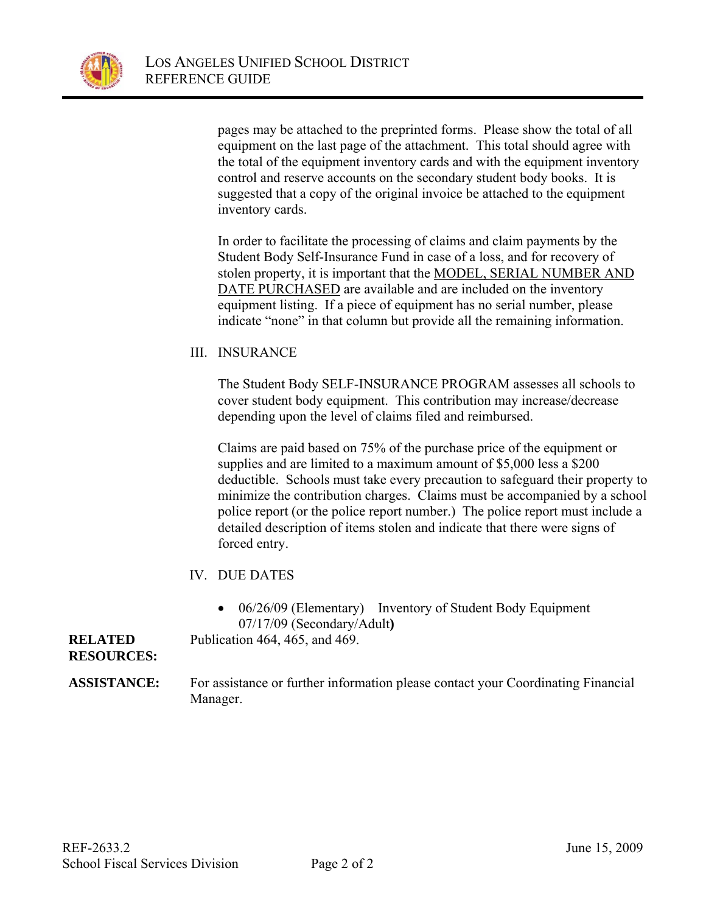

pages may be attached to the preprinted forms. Please show the total of all equipment on the last page of the attachment. This total should agree with the total of the equipment inventory cards and with the equipment inventory control and reserve accounts on the secondary student body books. It is suggested that a copy of the original invoice be attached to the equipment inventory cards.

In order to facilitate the processing of claims and claim payments by the Student Body Self-Insurance Fund in case of a loss, and for recovery of stolen property, it is important that the MODEL, SERIAL NUMBER AND DATE PURCHASED are available and are included on the inventory equipment listing. If a piece of equipment has no serial number, please indicate "none" in that column but provide all the remaining information.

III. INSURANCE

The Student Body SELF-INSURANCE PROGRAM assesses all schools to cover student body equipment. This contribution may increase/decrease depending upon the level of claims filed and reimbursed.

Claims are paid based on 75% of the purchase price of the equipment or supplies and are limited to a maximum amount of \$5,000 less a \$200 deductible. Schools must take every precaution to safeguard their property to minimize the contribution charges. Claims must be accompanied by a school police report (or the police report number.) The police report must include a detailed description of items stolen and indicate that there were signs of forced entry.

- IV. DUE DATES
	- 06/26/09 (Elementary) Inventory of Student Body Equipment 07/17/09 (Secondary/Adult**)**

Publication 464, 465, and 469.

#### **RELATED RESOURCES:**

**ASSISTANCE:** For assistance or further information please contact your Coordinating Financial Manager.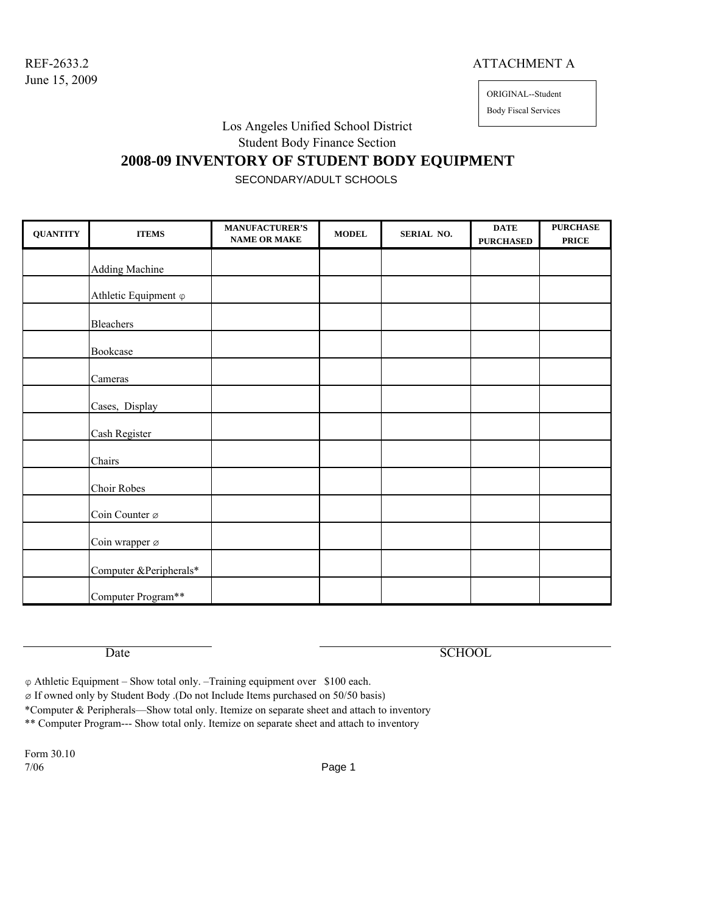#### REF-2633.2 ATTACHMENT A

ORIGINAL--Student

Body Fiscal Services

Los Angeles Unified School District

Student Body Finance Section

### **2008-09 INVENTORY OF STUDENT BODY EQUIPMENT**

SECONDARY/ADULT SCHOOLS

| <b>QUANTITY</b> | <b>ITEMS</b>                 | <b>MANUFACTURER'S</b><br><b>NAME OR MAKE</b> | <b>MODEL</b> | SERIAL NO. | $\mathbf{DATE}$<br><b>PURCHASED</b> | <b>PURCHASE</b><br><b>PRICE</b> |
|-----------------|------------------------------|----------------------------------------------|--------------|------------|-------------------------------------|---------------------------------|
|                 | <b>Adding Machine</b>        |                                              |              |            |                                     |                                 |
|                 | Athletic Equipment $\varphi$ |                                              |              |            |                                     |                                 |
|                 | Bleachers                    |                                              |              |            |                                     |                                 |
|                 | Bookcase                     |                                              |              |            |                                     |                                 |
|                 | Cameras                      |                                              |              |            |                                     |                                 |
|                 | Cases, Display               |                                              |              |            |                                     |                                 |
|                 | Cash Register                |                                              |              |            |                                     |                                 |
|                 | Chairs                       |                                              |              |            |                                     |                                 |
|                 | <b>Choir Robes</b>           |                                              |              |            |                                     |                                 |
|                 | Coin Counter ø               |                                              |              |            |                                     |                                 |
|                 | Coin wrapper ø               |                                              |              |            |                                     |                                 |
|                 | Computer & Peripherals*      |                                              |              |            |                                     |                                 |
|                 | Computer Program**           |                                              |              |            |                                     |                                 |

Date SCHOOL

φ Athletic Equipment – Show total only. –Training equipment over \$100 each.

ø If owned only by Student Body .(Do not Include Items purchased on 50/50 basis)

\*Computer & Peripherals—Show total only. Itemize on separate sheet and attach to inventory

\*\* Computer Program--- Show total only. Itemize on separate sheet and attach to inventory

Form 30.10 7/06 Page 1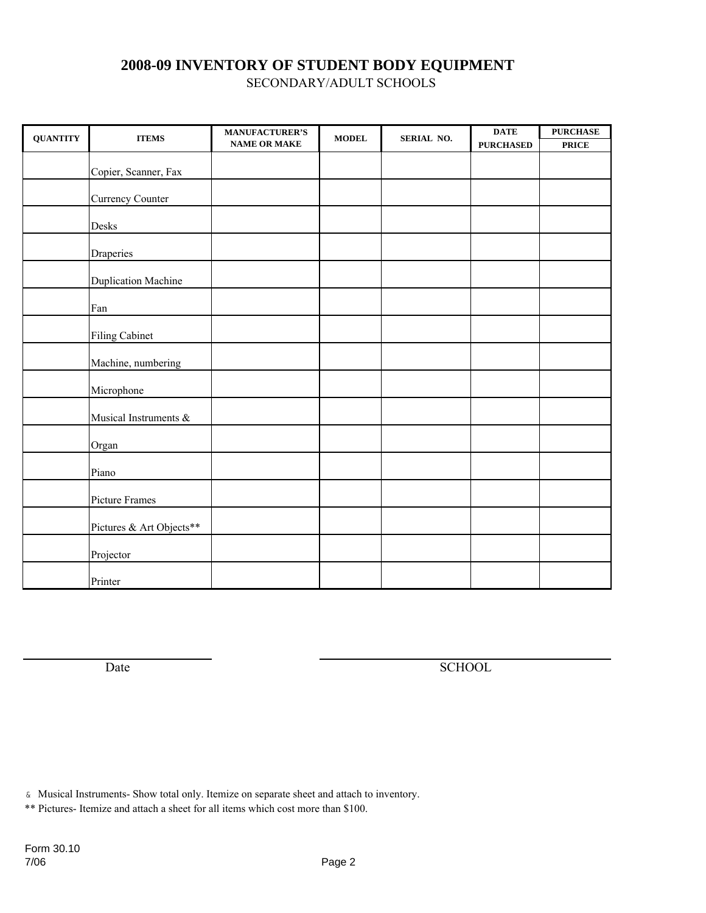SECONDARY/ADULT SCHOOLS

| <b>QUANTITY</b> | <b>ITEMS</b>               | <b>MANUFACTURER'S</b><br><b>NAME OR MAKE</b> | <b>MODEL</b> | SERIAL NO. | <b>DATE</b><br><b>PURCHASED</b> | <b>PURCHASE</b><br><b>PRICE</b> |
|-----------------|----------------------------|----------------------------------------------|--------------|------------|---------------------------------|---------------------------------|
|                 |                            |                                              |              |            |                                 |                                 |
|                 | Copier, Scanner, Fax       |                                              |              |            |                                 |                                 |
|                 | <b>Currency Counter</b>    |                                              |              |            |                                 |                                 |
|                 | Desks                      |                                              |              |            |                                 |                                 |
|                 | Draperies                  |                                              |              |            |                                 |                                 |
|                 | <b>Duplication Machine</b> |                                              |              |            |                                 |                                 |
|                 | Fan                        |                                              |              |            |                                 |                                 |
|                 | <b>Filing Cabinet</b>      |                                              |              |            |                                 |                                 |
|                 | Machine, numbering         |                                              |              |            |                                 |                                 |
|                 | Microphone                 |                                              |              |            |                                 |                                 |
|                 | Musical Instruments &      |                                              |              |            |                                 |                                 |
|                 | Organ                      |                                              |              |            |                                 |                                 |
|                 | Piano                      |                                              |              |            |                                 |                                 |
|                 | Picture Frames             |                                              |              |            |                                 |                                 |
|                 | Pictures & Art Objects**   |                                              |              |            |                                 |                                 |
|                 | Projector                  |                                              |              |            |                                 |                                 |
|                 | Printer                    |                                              |              |            |                                 |                                 |

Date SCHOOL

& Musical Instruments- Show total only. Itemize on separate sheet and attach to inventory.

\*\* Pictures- Itemize and attach a sheet for all items which cost more than \$100.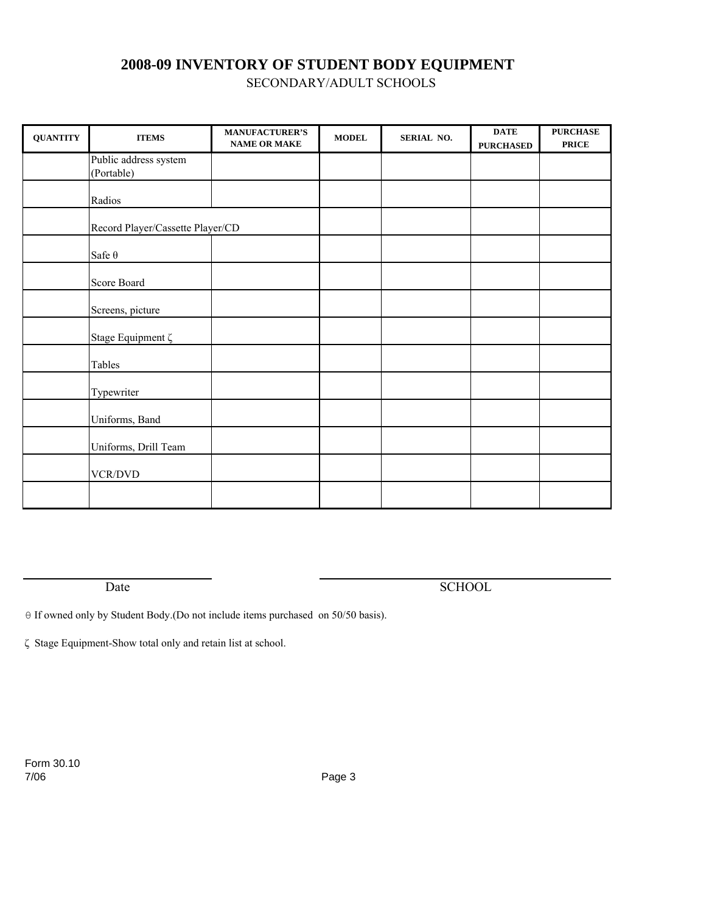SECONDARY/ADULT SCHOOLS

| <b>QUANTITY</b> | <b>ITEMS</b>                        | <b>MANUFACTURER'S</b><br><b>NAME OR MAKE</b> | $\bf{MODEL}$ | SERIAL NO. | <b>DATE</b><br><b>PURCHASED</b> | <b>PURCHASE</b><br><b>PRICE</b> |
|-----------------|-------------------------------------|----------------------------------------------|--------------|------------|---------------------------------|---------------------------------|
|                 | Public address system<br>(Portable) |                                              |              |            |                                 |                                 |
|                 | Radios                              |                                              |              |            |                                 |                                 |
|                 | Record Player/Cassette Player/CD    |                                              |              |            |                                 |                                 |
|                 | Safe $\theta$                       |                                              |              |            |                                 |                                 |
|                 | Score Board                         |                                              |              |            |                                 |                                 |
|                 | Screens, picture                    |                                              |              |            |                                 |                                 |
|                 | Stage Equipment ζ                   |                                              |              |            |                                 |                                 |
|                 | Tables                              |                                              |              |            |                                 |                                 |
|                 | Typewriter                          |                                              |              |            |                                 |                                 |
|                 | Uniforms, Band                      |                                              |              |            |                                 |                                 |
|                 | Uniforms, Drill Team                |                                              |              |            |                                 |                                 |
|                 | VCR/DVD                             |                                              |              |            |                                 |                                 |
|                 |                                     |                                              |              |            |                                 |                                 |

Date SCHOOL

θ If owned only by Student Body.(Do not include items purchased on 50/50 basis).

ζ Stage Equipment-Show total only and retain list at school.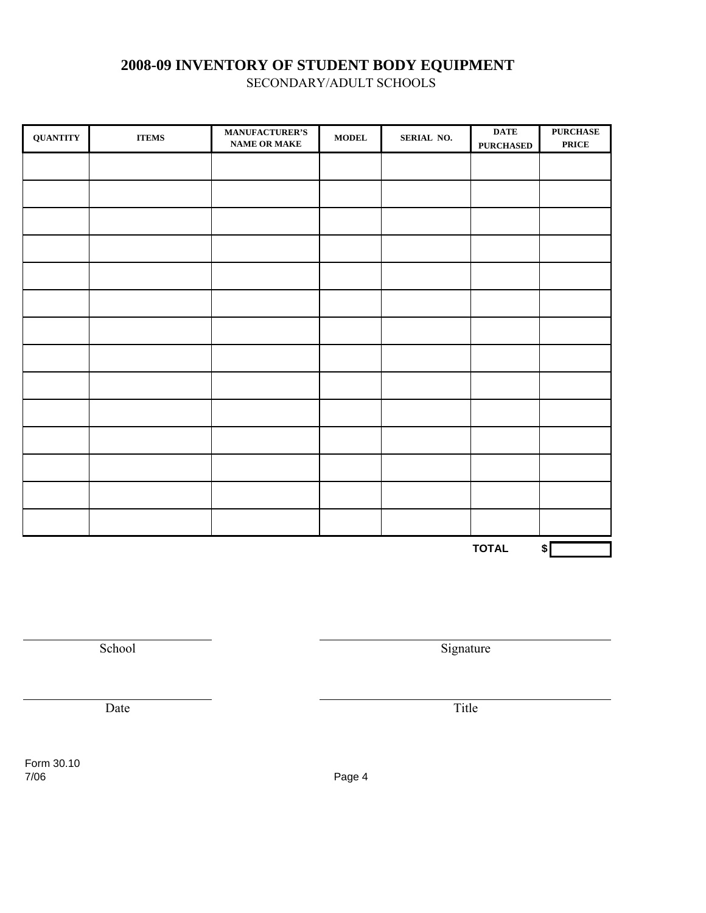SECONDARY/ADULT SCHOOLS

| <b>QUANTITY</b> | $\bf{ITEMS}$ | <b>MANUFACTURER'S</b><br>NAME OR MAKE | $\bf{MODEL}$ | SERIAL NO. | $\overline{\text{DATE}}$<br><b>PURCHASED</b> | <b>PURCHASE</b><br><b>PRICE</b> |
|-----------------|--------------|---------------------------------------|--------------|------------|----------------------------------------------|---------------------------------|
|                 |              |                                       |              |            |                                              |                                 |
|                 |              |                                       |              |            |                                              |                                 |
|                 |              |                                       |              |            |                                              |                                 |
|                 |              |                                       |              |            |                                              |                                 |
|                 |              |                                       |              |            |                                              |                                 |
|                 |              |                                       |              |            |                                              |                                 |
|                 |              |                                       |              |            |                                              |                                 |
|                 |              |                                       |              |            |                                              |                                 |
|                 |              |                                       |              |            |                                              |                                 |
|                 |              |                                       |              |            |                                              |                                 |
|                 |              |                                       |              |            |                                              |                                 |
|                 |              |                                       |              |            |                                              |                                 |
|                 |              |                                       |              |            |                                              |                                 |
|                 |              |                                       |              |            |                                              |                                 |
|                 |              |                                       |              |            | <b>TOTAL</b>                                 | $\sqrt{\ }$                     |

School Signature Signature

Date Title

Form 30.10 7/06 Page 4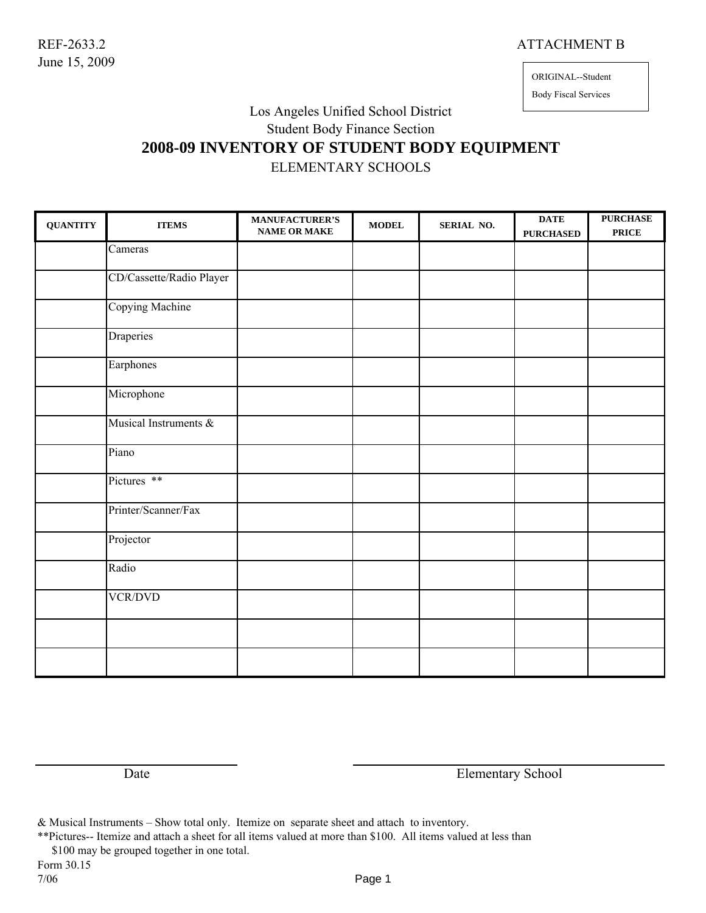#### REF-2633.2 ATTACHMENT B

June 15, 2009

## ORIGINAL--Student

Body Fiscal Services

## Los Angeles Unified School District

Student Body Finance Section

# **2008-09 INVENTORY OF STUDENT BODY EQUIPMENT**

ELEMENTARY SCHOOLS

| <b>QUANTITY</b> | <b>ITEMS</b>                 | <b>MANUFACTURER'S</b><br><b>NAME OR MAKE</b> | <b>MODEL</b> | SERIAL NO. | <b>DATE</b><br><b>PURCHASED</b> | <b>PURCHASE</b><br><b>PRICE</b> |
|-----------------|------------------------------|----------------------------------------------|--------------|------------|---------------------------------|---------------------------------|
|                 | $\overline{\text{C}}$ ameras |                                              |              |            |                                 |                                 |
|                 | CD/Cassette/Radio Player     |                                              |              |            |                                 |                                 |
|                 | <b>Copying Machine</b>       |                                              |              |            |                                 |                                 |
|                 | Draperies                    |                                              |              |            |                                 |                                 |
|                 | Earphones                    |                                              |              |            |                                 |                                 |
|                 | Microphone                   |                                              |              |            |                                 |                                 |
|                 | Musical Instruments &        |                                              |              |            |                                 |                                 |
|                 | Piano                        |                                              |              |            |                                 |                                 |
|                 | Pictures **                  |                                              |              |            |                                 |                                 |
|                 | Printer/Scanner/Fax          |                                              |              |            |                                 |                                 |
|                 | Projector                    |                                              |              |            |                                 |                                 |
|                 | Radio                        |                                              |              |            |                                 |                                 |
|                 | <b>VCR/DVD</b>               |                                              |              |            |                                 |                                 |
|                 |                              |                                              |              |            |                                 |                                 |
|                 |                              |                                              |              |            |                                 |                                 |

Date Elementary School

& Musical Instruments – Show total only. Itemize on separate sheet and attach to inventory.

\*\*Pictures-- Itemize and attach a sheet for all items valued at more than \$100. All items valued at less than

\$100 may be grouped together in one total.

Form 30.15